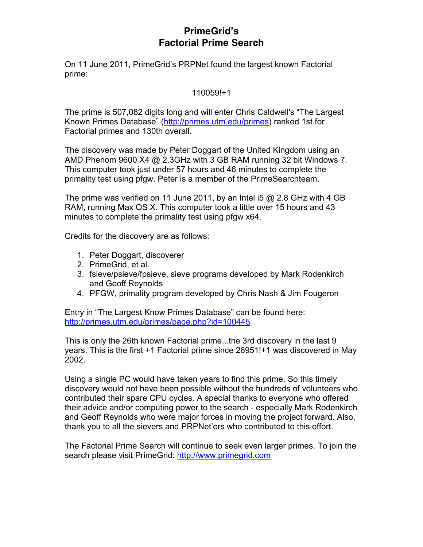## **PrimeGrid's Factorial Prime Search**

On 11 June 2011, PrimeGrid's PRPNet found the largest known Factorial prime:

### 110059!+1

The prime is 507,082 digits long and will enter Chris Caldwell's "The Largest Known Primes Database" (http://primes.utm.edu/primes) ranked 1st for Factorial primes and 130th overall.

The discovery was made by Peter Doggart of the United Kingdom using an AMD Phenom 9600 X4 @ 2.3GHz with 3 GB RAM running 32 bit Windows 7. This computer took just under 57 hours and 46 minutes to complete the primality test using pfgw. Peter is a member of the PrimeSearchteam.

The prime was verified on 11 June 2011, by an Intel i5  $@$  2.8 GHz with 4 GB RAM, running Max OS X. This computer took a little over 15 hours and 43 minutes to complete the primality test using pfgw x64.

Credits for the discovery are as follows:

- 1. Peter Doggart, discoverer
- 2. PrimeGrid, et al.
- 3. fsieve/psieve/fpsieve, sieve programs developed by Mark Rodenkirch and Geoff Reynolds
- 4. PFGW, primality program developed by Chris Nash & Jim Fougeron

Entry in "The Largest Know Primes Database" can be found here: http://primes.utm.edu/primes/page.php?id=100445

This is only the 26th known Factorial prime...the 3rd discovery in the last 9 years. This is the first +1 Factorial prime since 26951!+1 was discovered in May 2002.

Using a single PC would have taken years to find this prime. So this timely discovery would not have been possible without the hundreds of volunteers who contributed their spare CPU cycles. A special thanks to everyone who offered their advice and/or computing power to the search - especially Mark Rodenkirch and Geoff Reynolds who were major forces in moving the project forward. Also, thank you to all the sievers and PRPNet'ers who contributed to this effort.

The Factorial Prime Search will continue to seek even larger primes. To join the search please visit PrimeGrid: http://www.primegrid.com